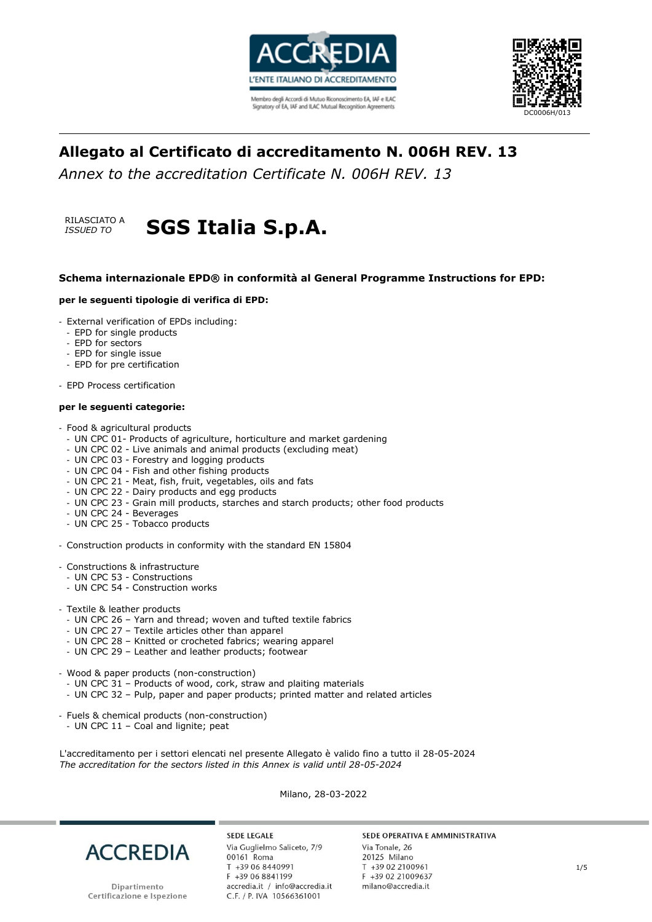



# **Allegato al Certificato di accreditamento N. 006H REV. 13**

*Annex to the accreditation Certificate N. 006H REV. 13*



# *ISSUED TO* **SGS Italia S.p.A.**

### **Schema internazionale EPD® in conformità al General Programme Instructions for EPD:**

#### **per le seguenti tipologie di verifica di EPD:**

- External verification of EPDs including:
	- EPD for single products
	- EPD for sectors
	- EPD for single issue
- EPD for pre certification
- EPD Process certification

#### **per le seguenti categorie:**

- Food & agricultural products
	- UN CPC 01- Products of agriculture, horticulture and market gardening
	- UN CPC 02 Live animals and animal products (excluding meat)
	- UN CPC 03 Forestry and logging products
	- UN CPC 04 Fish and other fishing products
	- UN CPC 21 Meat, fish, fruit, vegetables, oils and fats
	- UN CPC 22 Dairy products and egg products
- UN CPC 23 Grain mill products, starches and starch products; other food products
- UN CPC 24 Beverages
- UN CPC 25 Tobacco products
- Construction products in conformity with the standard EN 15804
- Constructions & infrastructure
- UN CPC 53 Constructions
- UN CPC 54 Construction works
- Textile & leather products
- UN CPC 26 Yarn and thread; woven and tufted textile fabrics
- UN CPC 27 Textile articles other than apparel
- UN CPC 28 Knitted or crocheted fabrics; wearing apparel
- UN CPC 29 Leather and leather products; footwear
- Wood & paper products (non-construction)
	- UN CPC 31 Products of wood, cork, straw and plaiting materials
	- UN CPC 32 Pulp, paper and paper products; printed matter and related articles
- Fuels & chemical products (non-construction)
- UN CPC 11 Coal and lignite; peat

L'accreditamento per i settori elencati nel presente Allegato è valido fino a tutto il 28-05-2024 *The accreditation for the sectors listed in this Annex is valid until 28-05-2024*

Milano, 28-03-2022



Dipartimento Certificazione e Ispezione

**SEDE LEGALE** Via Guglielmo Saliceto, 7/9 00161 Roma T +39 06 8440991 F +39 06 8841199 accredia.it / info@accredia.it C.F. / P. IVA 10566361001

#### SEDE OPERATIVA E AMMINISTRATIVA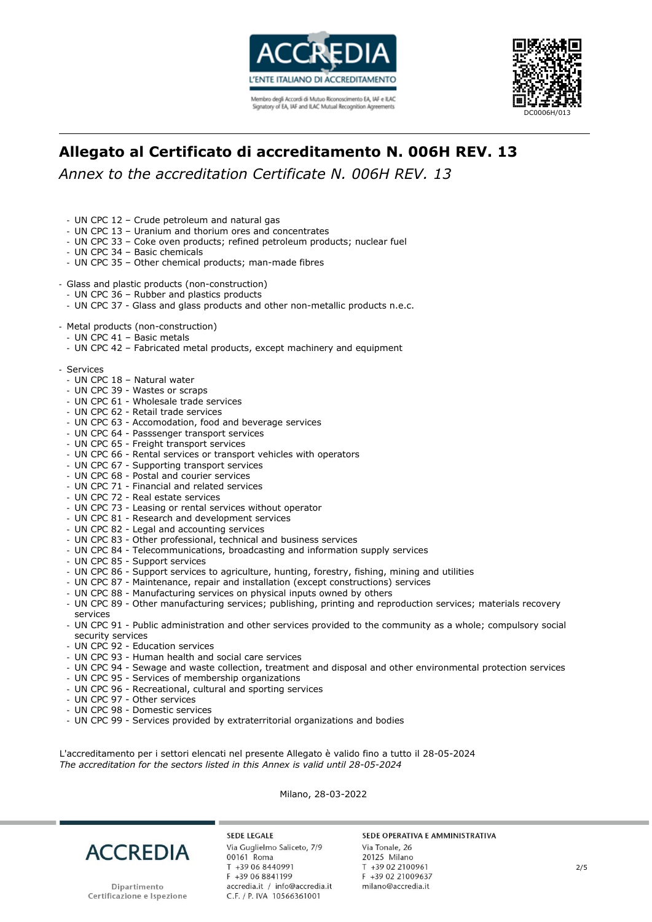



# **Allegato al Certificato di accreditamento N. 006H REV. 13**

*Annex to the accreditation Certificate N. 006H REV. 13*

- UN CPC 12 Crude petroleum and natural gas
- UN CPC 13 Uranium and thorium ores and concentrates
- UN CPC 33 Coke oven products; refined petroleum products; nuclear fuel
- UN CPC 34 Basic chemicals
- UN CPC 35 Other chemical products; man-made fibres
- Glass and plastic products (non-construction)
- UN CPC 36 Rubber and plastics products
- UN CPC 37 Glass and glass products and other non-metallic products n.e.c.
- Metal products (non-construction)
- UN CPC 41 Basic metals
- UN CPC 42 Fabricated metal products, except machinery and equipment
- Services
	- UN CPC 18 Natural water
	- UN CPC 39 Wastes or scraps
	- UN CPC 61 Wholesale trade services
	- UN CPC 62 Retail trade services
	- UN CPC 63 Accomodation, food and beverage services
	- UN CPC 64 Passsenger transport services
	- UN CPC 65 Freight transport services
	- UN CPC 66 Rental services or transport vehicles with operators
	- UN CPC 67 Supporting transport services
	- UN CPC 68 Postal and courier services
	- UN CPC 71 Financial and related services
	- UN CPC 72 Real estate services
	- UN CPC 73 Leasing or rental services without operator
	- UN CPC 81 Research and development services
	- UN CPC 82 Legal and accounting services
	- UN CPC 83 Other professional, technical and business services
	- UN CPC 84 Telecommunications, broadcasting and information supply services
	- UN CPC 85 Support services
	- UN CPC 86 Support services to agriculture, hunting, forestry, fishing, mining and utilities
	- UN CPC 87 Maintenance, repair and installation (except constructions) services
	- UN CPC 88 Manufacturing services on physical inputs owned by others
	- UN CPC 89 Other manufacturing services; publishing, printing and reproduction services; materials recovery services
	- UN CPC 91 Public administration and other services provided to the community as a whole; compulsory social security services
	- UN CPC 92 Education services
	- UN CPC 93 Human health and social care services
	- UN CPC 94 Sewage and waste collection, treatment and disposal and other environmental protection services
	- UN CPC 95 Services of membership organizations
	- UN CPC 96 Recreational, cultural and sporting services
	- UN CPC 97 Other services
	- UN CPC 98 Domestic services
- UN CPC 99 Services provided by extraterritorial organizations and bodies

L'accreditamento per i settori elencati nel presente Allegato è valido fino a tutto il 28-05-2024 *The accreditation for the sectors listed in this Annex is valid until 28-05-2024*

Milano, 28-03-2022



**SEDE LEGALE** Via Guglielmo Saliceto, 7/9 00161 Roma T +39 06 8440991 F +39 06 8841199 accredia.it / info@accredia.it C.F. / P. IVA 10566361001

#### SEDE OPERATIVA E AMMINISTRATIVA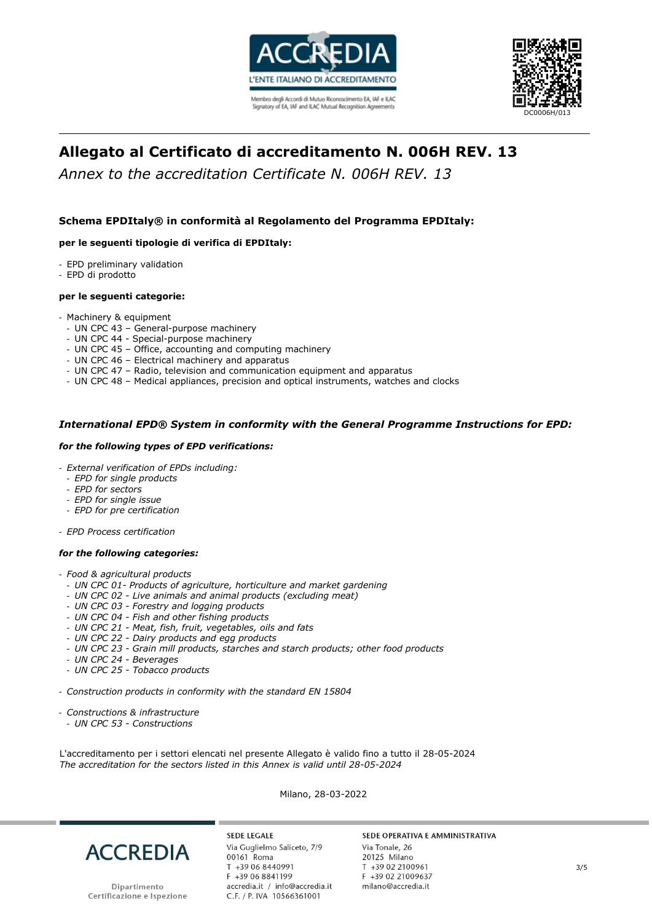



# **Allegato al Certificato di accreditamento N. 006H REV. 13**

*Annex to the accreditation Certificate N. 006H REV. 13*

## **Schema EPDItaly® in conformità al Regolamento del Programma EPDItaly:**

### **per le seguenti tipologie di verifica di EPDItaly:**

- EPD preliminary validation
- EPD di prodotto

#### **per le seguenti categorie:**

- Machinery & equipment
- UN CPC 43 General-purpose machinery
- UN CPC 44 Special-purpose machinery
- UN CPC 45 Office, accounting and computing machinery
- UN CPC 46 Electrical machinery and apparatus
- UN CPC 47 Radio, television and communication equipment and apparatus
- UN CPC 48 Medical appliances, precision and optical instruments, watches and clocks

### *International EPD® System in conformity with the General Programme Instructions for EPD:*

#### *for the following types of EPD verifications:*

- *External verification of EPDs including:*
- *EPD for single products*
- *EPD for sectors*
- *EPD for single issue*
- *EPD for pre certification*
- *EPD Process certification*

#### *for the following categories:*

- *Food & agricultural products*
	- *UN CPC 01- Products of agriculture, horticulture and market gardening*
- *UN CPC 02 - Live animals and animal products (excluding meat)*
- *UN CPC 03 - Forestry and logging products*
- *UN CPC 04 - Fish and other fishing products*
- *UN CPC 21 - Meat, fish, fruit, vegetables, oils and fats*
- *UN CPC 22 - Dairy products and egg products*
- *UN CPC 23 - Grain mill products, starches and starch products; other food products*
- *UN CPC 24 - Beverages*
- *UN CPC 25 - Tobacco products*
- *Construction products in conformity with the standard EN 15804*
- *Constructions & infrastructure*
- *UN CPC 53 - Constructions*

L'accreditamento per i settori elencati nel presente Allegato è valido fino a tutto il 28-05-2024 *The accreditation for the sectors listed in this Annex is valid until 28-05-2024*

Milano, 28-03-2022



**SEDE LEGALE** Via Guglielmo Saliceto, 7/9 00161 Roma T +39 06 8440991 F +39 06 8841199 accredia.it / info@accredia.it<br>C.F. / P. IVA 10566361001

#### SEDE OPERATIVA E AMMINISTRATIVA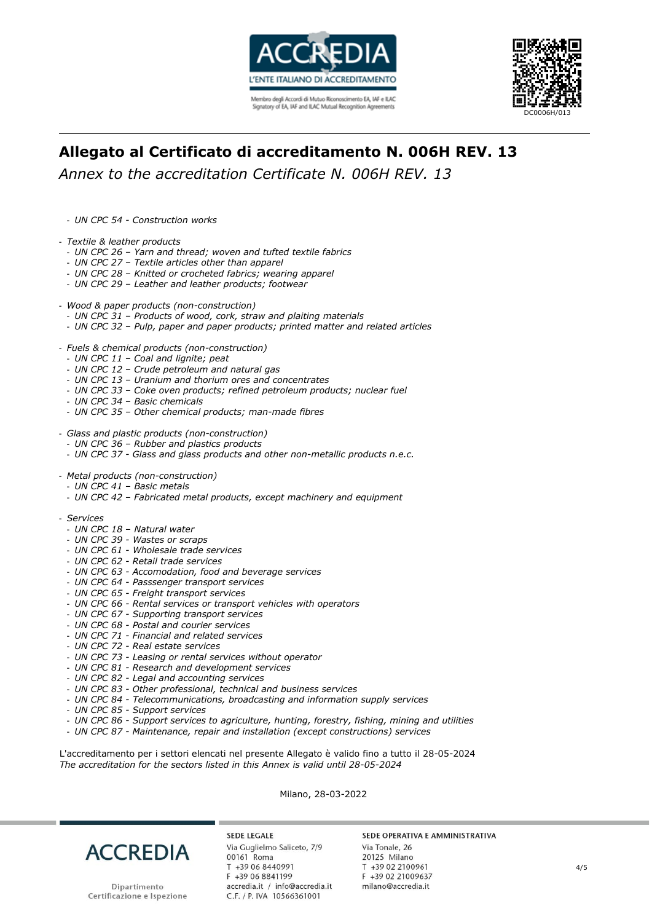



# **Allegato al Certificato di accreditamento N. 006H REV. 13**

*Annex to the accreditation Certificate N. 006H REV. 13*

- *UN CPC 54 - Construction works*

- *Textile & leather products*
- *UN CPC 26 – Yarn and thread; woven and tufted textile fabrics*
- *UN CPC 27 – Textile articles other than apparel*
- *UN CPC 28 – Knitted or crocheted fabrics; wearing apparel*
- *UN CPC 29 – Leather and leather products; footwear*
- *Wood & paper products (non-construction)*
	- *UN CPC 31 – Products of wood, cork, straw and plaiting materials*
	- *UN CPC 32 – Pulp, paper and paper products; printed matter and related articles*
- *Fuels & chemical products (non-construction)*
- *UN CPC 11 – Coal and lignite; peat*
- *UN CPC 12 – Crude petroleum and natural gas*
- *UN CPC 13 – Uranium and thorium ores and concentrates*
- *UN CPC 33 – Coke oven products; refined petroleum products; nuclear fuel*
- *UN CPC 34 – Basic chemicals*
- *UN CPC 35 – Other chemical products; man-made fibres*
- *Glass and plastic products (non-construction)*
	- *UN CPC 36 – Rubber and plastics products*
	- *UN CPC 37 - Glass and glass products and other non-metallic products n.e.c.*
- *Metal products (non-construction)*
- *UN CPC 41 – Basic metals*
- *UN CPC 42 – Fabricated metal products, except machinery and equipment*
- *Services*
	- *UN CPC 18 – Natural water*
	- *UN CPC 39 - Wastes or scraps*
	- *UN CPC 61 - Wholesale trade services*
	- *UN CPC 62 - Retail trade services*
	- *UN CPC 63 - Accomodation, food and beverage services*
	- *UN CPC 64 - Passsenger transport services*
	- *UN CPC 65 - Freight transport services*
	- *UN CPC 66 - Rental services or transport vehicles with operators*
	- *UN CPC 67 - Supporting transport services*
	- *UN CPC 68 - Postal and courier services*
	- *UN CPC 71 - Financial and related services*
	- *UN CPC 72 - Real estate services*
	- *UN CPC 73 - Leasing or rental services without operator*
	- *UN CPC 81 - Research and development services*
	- *UN CPC 82 - Legal and accounting services*
	- *UN CPC 83 - Other professional, technical and business services*
- *UN CPC 84 - Telecommunications, broadcasting and information supply services*
- *UN CPC 85 - Support services*
- *UN CPC 86 - Support services to agriculture, hunting, forestry, fishing, mining and utilities*
- *UN CPC 87 - Maintenance, repair and installation (except constructions) services*

L'accreditamento per i settori elencati nel presente Allegato è valido fino a tutto il 28-05-2024 *The accreditation for the sectors listed in this Annex is valid until 28-05-2024*

Milano, 28-03-2022



**SEDE LEGALE** Via Guglielmo Saliceto, 7/9 00161 Roma T +39 06 8440991 F +39 06 8841199 accredia.it / info@accredia.it<br>C.F. / P. IVA 10566361001

#### SEDE OPERATIVA E AMMINISTRATIVA